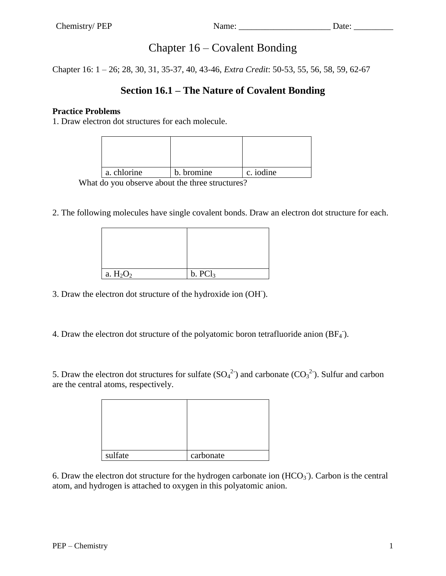# Chapter 16 – Covalent Bonding

Chapter 16: 1 – 26; 28, 30, 31, 35-37, 40, 43-46, *Extra Credit*: 50-53, 55, 56, 58, 59, 62-67

## **Section 16.1 – The Nature of Covalent Bonding**

## **Practice Problems**

1. Draw electron dot structures for each molecule.

| a. chlorine | b. bromine | c. iodine |
|-------------|------------|-----------|

What do you observe about the three structures?

2. The following molecules have single covalent bonds. Draw an electron dot structure for each.

| a. $H_2O_2$ | b. PCl <sub>3</sub> |
|-------------|---------------------|

3. Draw the electron dot structure of the hydroxide ion (OH- ).

4. Draw the electron dot structure of the polyatomic boron tetrafluoride anion  $(BF_4)$ .

5. Draw the electron dot structures for sulfate  $(SO_4^2)$  and carbonate  $(CO_3^2)$ . Sulfur and carbon are the central atoms, respectively.

| sulfate | carbonate |
|---------|-----------|

6. Draw the electron dot structure for the hydrogen carbonate ion  $(HCO<sub>3</sub>)$ . Carbon is the central atom, and hydrogen is attached to oxygen in this polyatomic anion.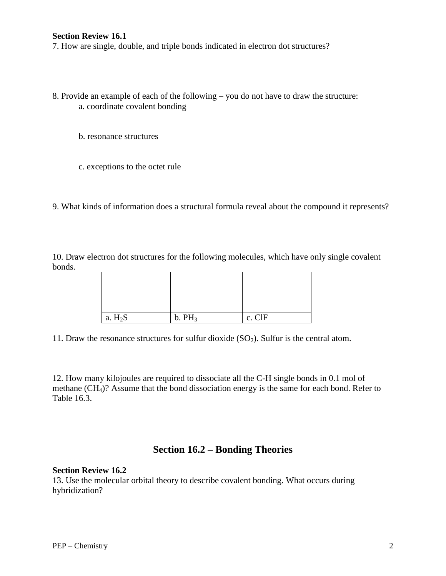#### **Section Review 16.1**

7. How are single, double, and triple bonds indicated in electron dot structures?

- 8. Provide an example of each of the following you do not have to draw the structure: a. coordinate covalent bonding
	- b. resonance structures
	- c. exceptions to the octet rule
- 9. What kinds of information does a structural formula reveal about the compound it represents?

10. Draw electron dot structures for the following molecules, which have only single covalent bonds.

| a. $H_2S$ | b. PH <sub>3</sub> | c. ClF |
|-----------|--------------------|--------|

11. Draw the resonance structures for sulfur dioxide  $(SO_2)$ . Sulfur is the central atom.

12. How many kilojoules are required to dissociate all the C-H single bonds in 0.1 mol of methane (CH4)? Assume that the bond dissociation energy is the same for each bond. Refer to Table 16.3.

## **Section 16.2 – Bonding Theories**

#### **Section Review 16.2**

13. Use the molecular orbital theory to describe covalent bonding. What occurs during hybridization?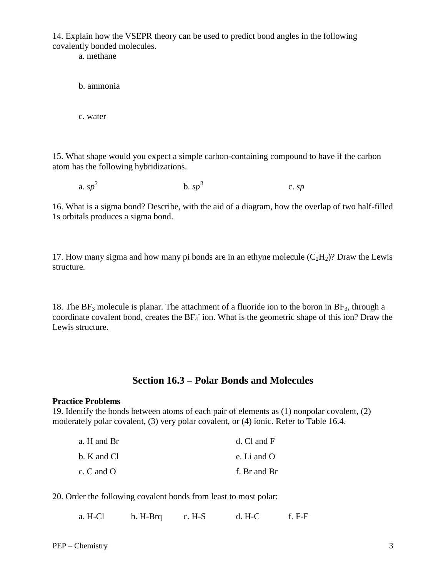14. Explain how the VSEPR theory can be used to predict bond angles in the following covalently bonded molecules.

a. methane

b. ammonia

c. water

15. What shape would you expect a simple carbon-containing compound to have if the carbon atom has the following hybridizations.

a. *sp 2*  $b. sp<sup>3</sup>$ c. *sp*

16. What is a sigma bond? Describe, with the aid of a diagram, how the overlap of two half-filled 1s orbitals produces a sigma bond.

17. How many sigma and how many pi bonds are in an ethyne molecule  $(C_2H_2)$ ? Draw the Lewis structure.

18. The  $BF_3$  molecule is planar. The attachment of a fluoride ion to the boron in  $BF_3$ , through a coordinate covalent bond, creates the  $BF_4$  ion. What is the geometric shape of this ion? Draw the Lewis structure.

## **Section 16.3 – Polar Bonds and Molecules**

#### **Practice Problems**

19. Identify the bonds between atoms of each pair of elements as (1) nonpolar covalent, (2) moderately polar covalent, (3) very polar covalent, or (4) ionic. Refer to Table 16.4.

| a. H and Br    | $d.$ Cl and F      |
|----------------|--------------------|
| b. K and Cl    | e. Li and $\Omega$ |
| c. $C$ and $O$ | f. Br and Br       |

20. Order the following covalent bonds from least to most polar:

| a. H-Cl | b. H-Brg | $c. H-S$ | $d. H-C$ | $f. F-F$ |
|---------|----------|----------|----------|----------|
|         |          |          |          |          |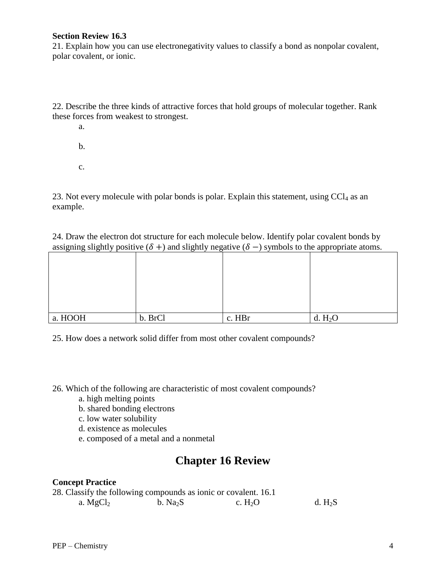#### **Section Review 16.3**

21. Explain how you can use electronegativity values to classify a bond as nonpolar covalent, polar covalent, or ionic.

22. Describe the three kinds of attractive forces that hold groups of molecular together. Rank these forces from weakest to strongest.

a.

- b.
- c.

23. Not every molecule with polar bonds is polar. Explain this statement, using  $CCl<sub>4</sub>$  as an example.

24. Draw the electron dot structure for each molecule below. Identify polar covalent bonds by assigning slightly positive  $(\delta +)$  and slightly negative  $(\delta -)$  symbols to the appropriate atoms.

| a. HOOH | b. BrCl | c. HBr | d. $H_2O$ |
|---------|---------|--------|-----------|

25. How does a network solid differ from most other covalent compounds?

26. Which of the following are characteristic of most covalent compounds?

- a. high melting points
- b. shared bonding electrons
- c. low water solubility
- d. existence as molecules
- e. composed of a metal and a nonmetal

# **Chapter 16 Review**

## **Concept Practice**

| 28. Classify the following compounds as ionic or covalent. 16.1 |                      |          |           |
|-----------------------------------------------------------------|----------------------|----------|-----------|
| a. $MgCl2$                                                      | b. Na <sub>2</sub> S | c. $H2O$ | d. $H_2S$ |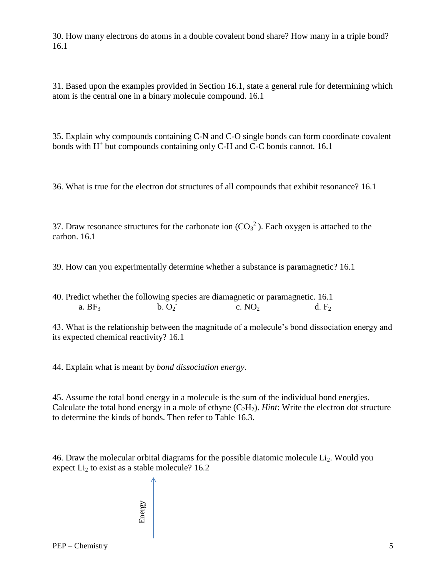30. How many electrons do atoms in a double covalent bond share? How many in a triple bond? 16.1

31. Based upon the examples provided in Section 16.1, state a general rule for determining which atom is the central one in a binary molecule compound. 16.1

35. Explain why compounds containing C-N and C-O single bonds can form coordinate covalent bonds with H<sup>+</sup> but compounds containing only C-H and C-C bonds cannot. 16.1

36. What is true for the electron dot structures of all compounds that exhibit resonance? 16.1

37. Draw resonance structures for the carbonate ion  $(CO_3^2)$ . Each oxygen is attached to the carbon. 16.1

39. How can you experimentally determine whether a substance is paramagnetic? 16.1

40. Predict whether the following species are diamagnetic or paramagnetic. 16.1 a.  $BF<sub>3</sub>$  $b. O<sub>2</sub>$ c.  $NO<sub>2</sub>$  d.  $F<sub>2</sub>$ 

43. What is the relationship between the magnitude of a molecule's bond dissociation energy and its expected chemical reactivity? 16.1

44. Explain what is meant by *bond dissociation energy*.

45. Assume the total bond energy in a molecule is the sum of the individual bond energies. Calculate the total bond energy in a mole of ethyne  $(C_2H_2)$ . *Hint*: Write the electron dot structure to determine the kinds of bonds. Then refer to Table 16.3.

46. Draw the molecular orbital diagrams for the possible diatomic molecule  $Li<sub>2</sub>$ . Would you expect  $Li<sub>2</sub>$  to exist as a stable molecule? 16.2

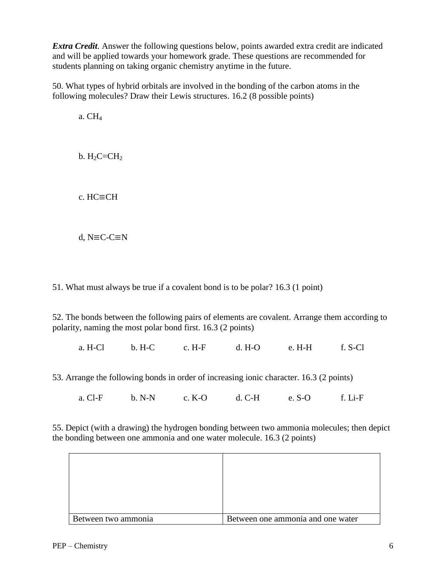*Extra Credit*. Answer the following questions below, points awarded extra credit are indicated and will be applied towards your homework grade. These questions are recommended for students planning on taking organic chemistry anytime in the future.

50. What types of hybrid orbitals are involved in the bonding of the carbon atoms in the following molecules? Draw their Lewis structures. 16.2 (8 possible points)

a. CH<sup>4</sup>

 $b. H<sub>2</sub>C=CH<sub>2</sub>$ 

c. HC≡CH

d, N≡C-C≡N

51. What must always be true if a covalent bond is to be polar? 16.3 (1 point)

52. The bonds between the following pairs of elements are covalent. Arrange them according to polarity, naming the most polar bond first. 16.3 (2 points)

a. H-Cl b. H-C c. H-F d. H-O e. H-H f. S-Cl

53. Arrange the following bonds in order of increasing ionic character. 16.3 (2 points)

a. Cl-F b. N-N c. K-O d. C-H e. S-O f. Li-F

55. Depict (with a drawing) the hydrogen bonding between two ammonia molecules; then depict the bonding between one ammonia and one water molecule. 16.3 (2 points)

| Between two ammonia | Between one ammonia and one water |
|---------------------|-----------------------------------|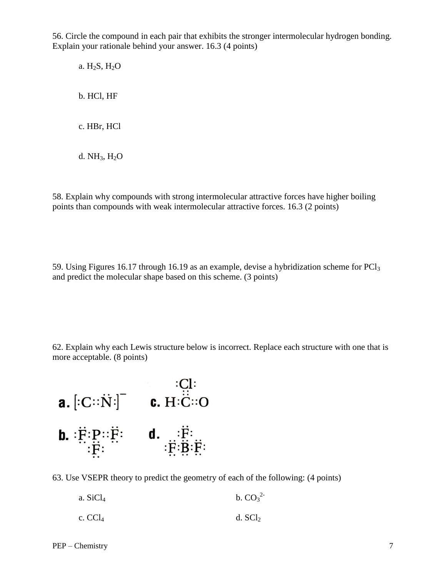56. Circle the compound in each pair that exhibits the stronger intermolecular hydrogen bonding. Explain your rationale behind your answer. 16.3 (4 points)

a. H2S, H2O b. HCl, HF c. HBr, HCl

d.  $NH<sub>3</sub>$ ,  $H<sub>2</sub>O$ 

58. Explain why compounds with strong intermolecular attractive forces have higher boiling points than compounds with weak intermolecular attractive forces. 16.3 (2 points)

59. Using Figures 16.17 through 16.19 as an example, devise a hybridization scheme for PCl<sup>3</sup> and predict the molecular shape based on this scheme. (3 points)

62. Explain why each Lewis structure below is incorrect. Replace each structure with one that is more acceptable. (8 points)



63. Use VSEPR theory to predict the geometry of each of the following: (4 points)

| a. $SiCl4$ | b. $CO_3^2$ |
|------------|-------------|
| c. $CCl4$  | d. $SCl2$   |

PEP – Chemistry 7